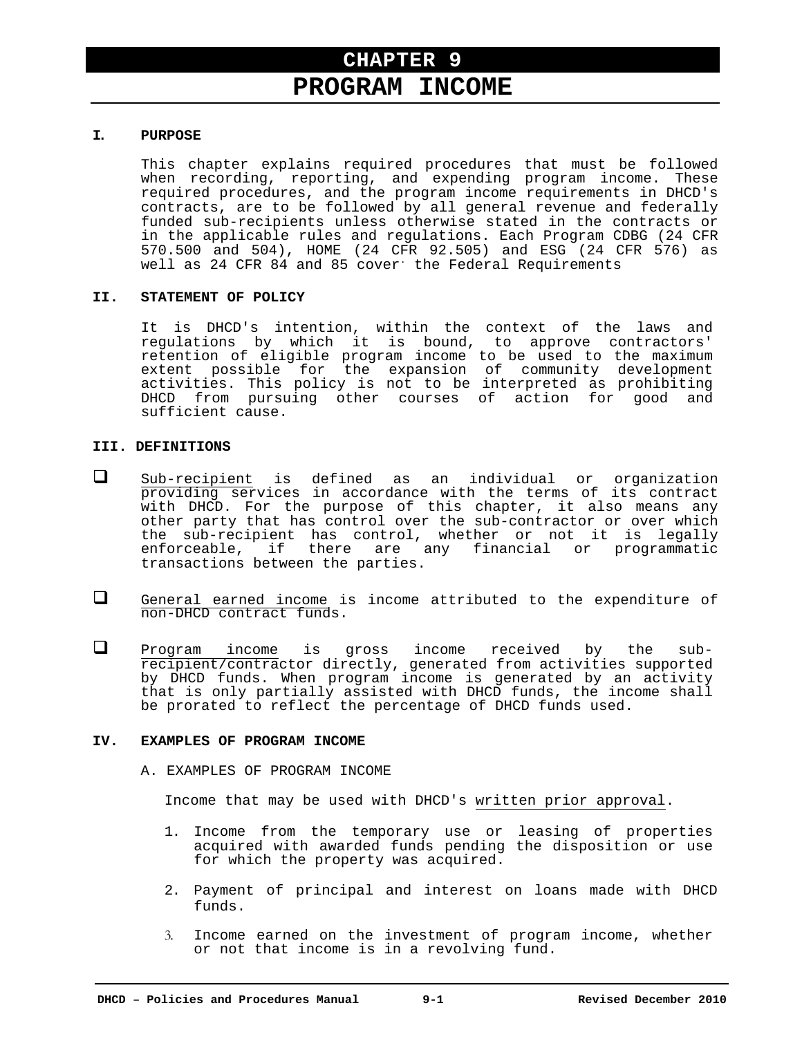# **PROGRAM INCOME**

#### **I. PURPOSE**

This chapter explains required procedures that must be followed when recording, reporting, and expending program income. These required procedures, and the program income requirements in DHCD's contracts, are to be followed by all general revenue and federally funded sub-recipients unless otherwise stated in the contracts or in the applicable rules and regulations. Each Program CDBG (24 CFR 570.500 and 504), HOME (24 CFR 92.505) and ESG (24 CFR 576) as well as 24 CFR 84 and 85 cover: the Federal Requirements

#### **II. STATEMENT OF POLICY**

It is DHCD's intention, within the context of the laws and regulations by which it is bound, to approve contractors' retention of eligible program income to be used to the maximum extent possible for the expansion of community development activities. This policy is not to be interpreted as prohibiting DHCD from pursuing other courses of action for good and sufficient cause.

### **III. DEFINITIONS**

- $\Box$  Sub-recipient is defined as an individual or organization providing services in accordance with the terms of its contract with DHCD. For the purpose of this chapter, it also means any other party that has control over the sub-contractor or over which the sub-recipient has control, whether or not it is legally enforceable, if there are any financial or programmatic transactions between the parties.
- General earned income is income attributed to the expenditure of non-DHCD contract funds.
- **Q** Program income is gross income received by the subrecipient/contractor directly, generated from activities supported by DHCD funds. When program income is generated by an activity that is only partially assisted with DHCD funds, the income shall be prorated to reflect the percentage of DHCD funds used.

#### **IV. EXAMPLES OF PROGRAM INCOME**

A. EXAMPLES OF PROGRAM INCOME

Income that may be used with DHCD's written prior approval.

- 1. Income from the temporary use or leasing of properties acquired with awarded funds pending the disposition or use for which the property was acquired.
- 2. Payment of principal and interest on loans made with DHCD funds.
- 3. Income earned on the investment of program income, whether or not that income is in a revolving fund.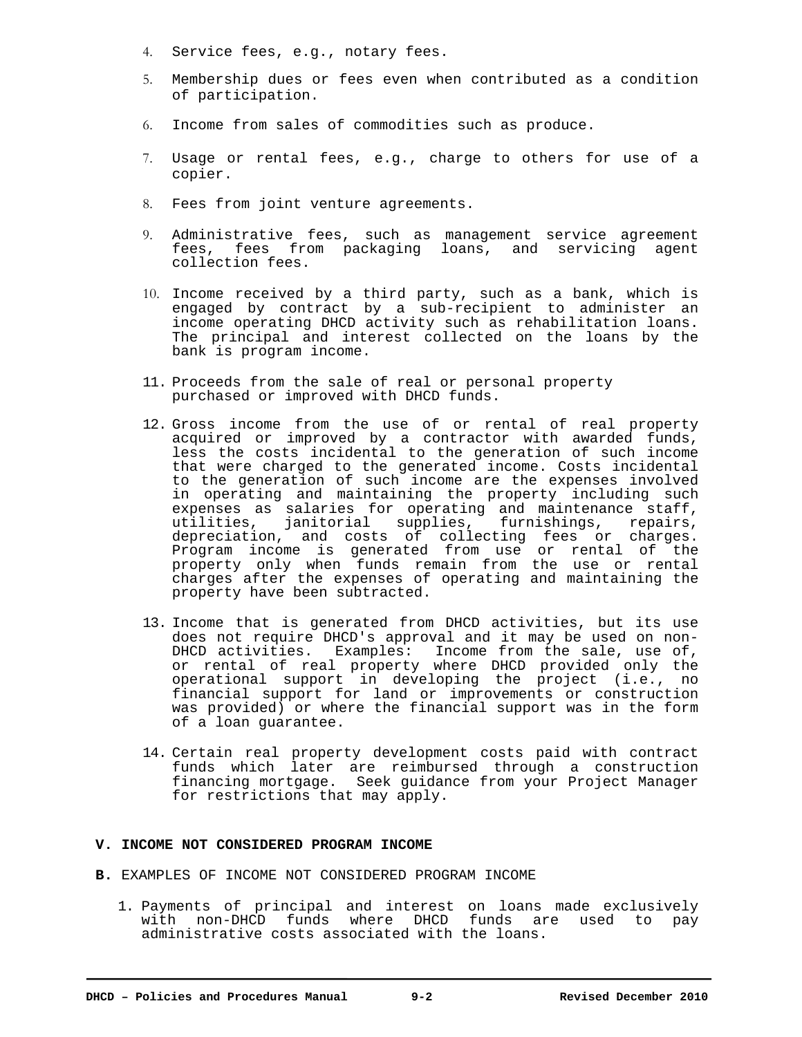- 4. Service fees, e.g., notary fees.
- 5. Membership dues or fees even when contributed as a condition of participation.
- 6. Income from sales of commodities such as produce.
- 7. Usage or rental fees, e.g., charge to others for use of a copier.
- 8. Fees from joint venture agreements.
- 9. Administrative fees, such as management service agreement fees, fees from packaging loans, and servicing agent collection fees.
- 10. Income received by a third party, such as a bank, which is engaged by contract by a sub-recipient to administer an income operating DHCD activity such as rehabilitation loans. The principal and interest collected on the loans by the bank is program income.
- 11. Proceeds from the sale of real or personal property purchased or improved with DHCD funds.
- 12. Gross income from the use of or rental of real property acquired or improved by a contractor with awarded funds, less the costs incidental to the generation of such income that were charged to the generated income. Costs incidental to the generation of such income are the expenses involved in operating and maintaining the property including such expenses as salaries for operating and maintenance staff, utilities, janitorial supplies, furnishings, repairs, depreciation, and costs of collecting fees or charges. Program income is generated from use or rental of the property only when funds remain from the use or rental charges after the expenses of operating and maintaining the property have been subtracted.
- 13. Income that is generated from DHCD activities, but its use does not require DHCD's approval and it may be used on non-DHCD activities. Examples: Income from the sale, use of, or rental of real property where DHCD provided only the operational support in developing the project (i.e., no financial support for land or improvements or construction was provided) or where the financial support was in the form of a loan guarantee.
- 14. Certain real property development costs paid with contract funds which later are reimbursed through a construction financing mortgage. Seek guidance from your Project Manager for restrictions that may apply.

#### **V. INCOME NOT CONSIDERED PROGRAM INCOME**

- **B.** EXAMPLES OF INCOME NOT CONSIDERED PROGRAM INCOME
	- 1. Payments of principal and interest on loans made exclusively with non-DHCD funds where DHCD funds are used to pay administrative costs associated with the loans.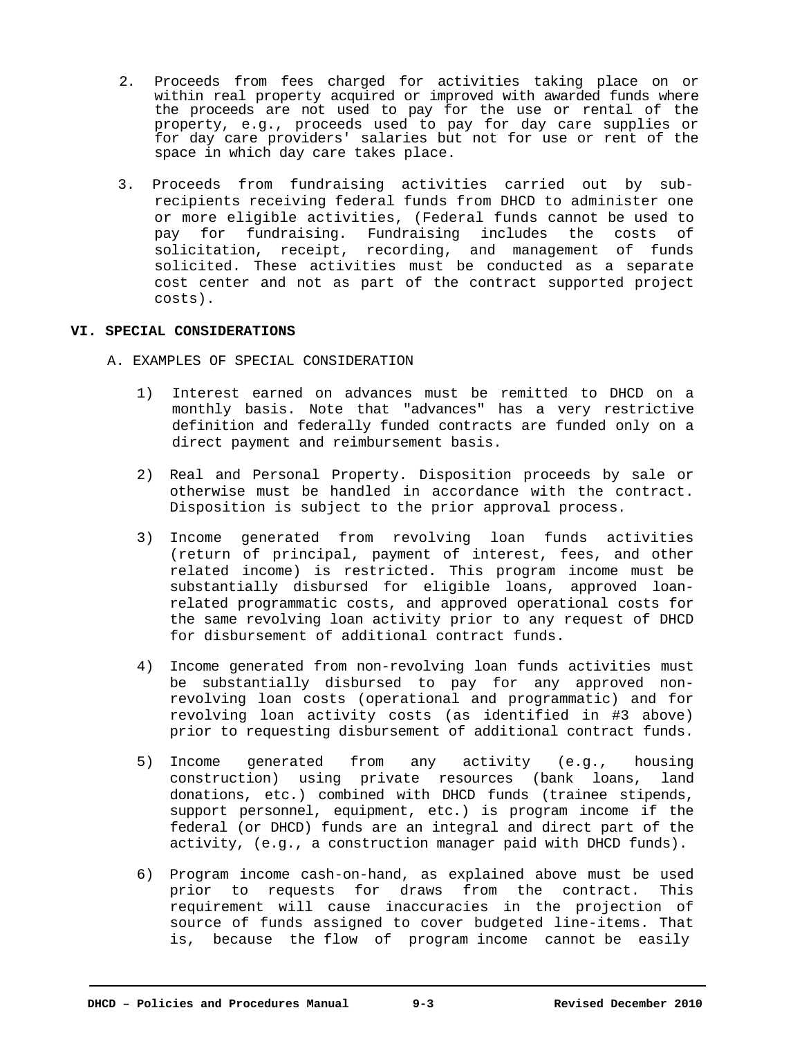- 2. Proceeds from fees charged for activities taking place on or within real property acquired or improved with awarded funds where the proceeds are not used to pay for the use or rental of the property, e.g., proceeds used to pay for day care supplies or for day care providers' salaries but not for use or rent of the space in which day care takes place.
- 3. Proceeds from fundraising activities carried out by subrecipients receiving federal funds from DHCD to administer one or more eligible activities, (Federal funds cannot be used to pay for fundraising. Fundraising includes the costs of solicitation, receipt, recording, and management of funds solicited. These activities must be conducted as a separate cost center and not as part of the contract supported project costs).

### **VI. SPECIAL CONSIDERATIONS**

- A. EXAMPLES OF SPECIAL CONSIDERATION
	- 1) Interest earned on advances must be remitted to DHCD on a monthly basis. Note that "advances" has a very restrictive definition and federally funded contracts are funded only on a direct payment and reimbursement basis.
	- 2) Real and Personal Property. Disposition proceeds by sale or otherwise must be handled in accordance with the contract. Disposition is subject to the prior approval process.
	- 3) Income generated from revolving loan funds activities (return of principal, payment of interest, fees, and other related income) is restricted. This program income must be substantially disbursed for eligible loans, approved loanrelated programmatic costs, and approved operational costs for the same revolving loan activity prior to any request of DHCD for disbursement of additional contract funds.
	- 4) Income generated from non-revolving loan funds activities must be substantially disbursed to pay for any approved nonrevolving loan costs (operational and programmatic) and for revolving loan activity costs (as identified in #3 above) prior to requesting disbursement of additional contract funds.
	- 5) Income generated from any activity (e.g., housing construction) using private resources (bank loans, land donations, etc.) combined with DHCD funds (trainee stipends, support personnel, equipment, etc.) is program income if the federal (or DHCD) funds are an integral and direct part of the activity, (e.g., a construction manager paid with DHCD funds).
	- 6) Program income cash-on-hand, as explained above must be used prior to requests for draws from the contract. This requirement will cause inaccuracies in the projection of source of funds assigned to cover budgeted line-items. That is, because the flow of program income cannot be easily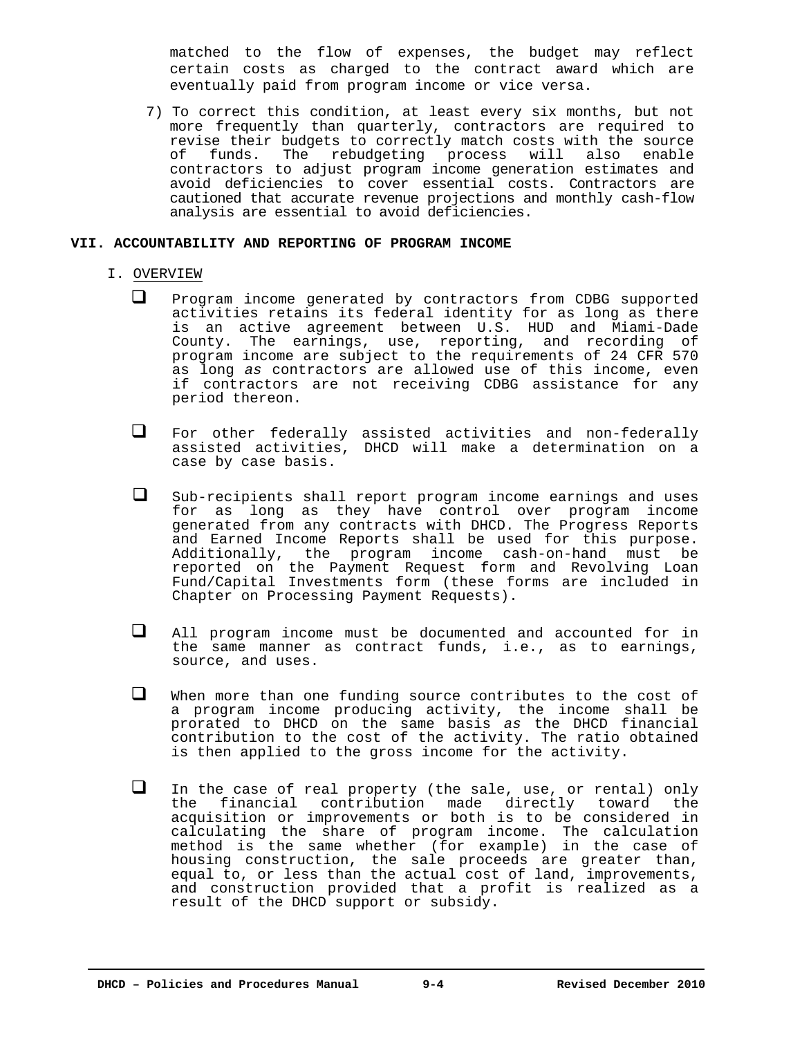matched to the flow of expenses, the budget may reflect certain costs as charged to the contract award which are eventually paid from program income or vice versa.

7) To correct this condition, at least every six months, but not more frequently than quarterly, contractors are required to revise their budgets to correctly match costs with the source of funds. The rebudgeting process will also enable contractors to adjust program income generation estimates and avoid deficiencies to cover essential costs. Contractors are cautioned that accurate revenue projections and monthly cash-flow analysis are essential to avoid deficiencies.

#### **VII. ACCOUNTABILITY AND REPORTING OF PROGRAM INCOME**

#### I. OVERVIEW

- $\Box$  Program income generated by contractors from CDBG supported activities retains its federal identity for as long as there is an active agreement between U.S. HUD and Miami-Dade County. The earnings, use, reporting, and recording of program income are subject to the requirements of 24 CFR 570 as long *as* contractors are allowed use of this income, even if contractors are not receiving CDBG assistance for any period thereon.
- For other federally assisted activities and non-federally assisted activities, DHCD will make a determination on a case by case basis.
- Sub-recipients shall report program income earnings and uses for as long as they have control over program income generated from any contracts with DHCD. The Progress Reports and Earned Income Reports shall be used for this purpose. Additionally, the program income cash-on-hand must be reported on the Payment Request form and Revolving Loan Fund/Capital Investments form (these forms are included in Chapter on Processing Payment Requests).
- All program income must be documented and accounted for in the same manner as contract funds, i.e., as to earnings, source, and uses.
- When more than one funding source contributes to the cost of a program income producing activity, the income shall be prorated to DHCD on the same basis *as* the DHCD financial contribution to the cost of the activity. The ratio obtained is then applied to the gross income for the activity.
- In the case of real property (the sale, use, or rental) only the financial contribution made directly toward the acquisition or improvements or both is to be considered in calculating the share of program income. The calculation method is the same whether (for example) in the case of housing construction, the sale proceeds are greater than, equal to, or less than the actual cost of land, improvements, and construction provided that a profit is realized as a result of the DHCD support or subsidy.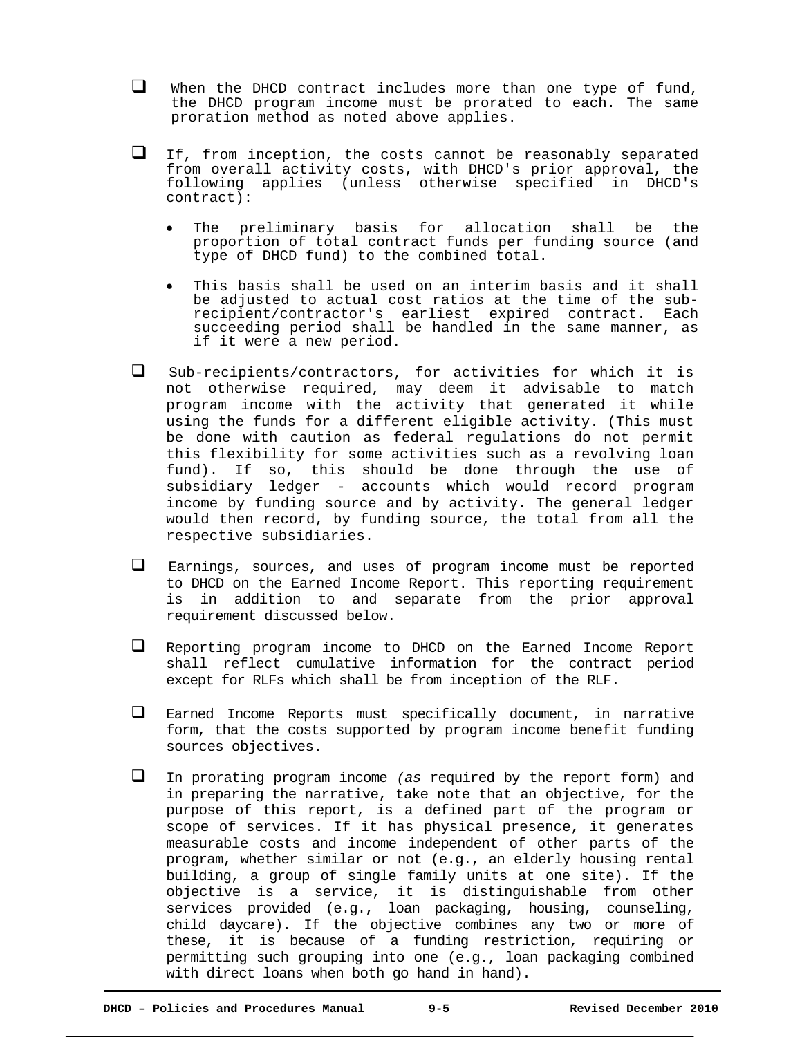- $\Box$  When the DHCD contract includes more than one type of fund, the DHCD program income must be prorated to each. The same proration method as noted above applies.
- If, from inception, the costs cannot be reasonably separated from overall activity costs, with DHCD's prior approval, the following applies (unless otherwise specified in DHCD's contract):
	- The preliminary basis for allocation shall be the proportion of total contract funds per funding source (and type of DHCD fund) to the combined total.
	- This basis shall be used on an interim basis and it shall be adjusted to actual cost ratios at the time of the subrecipient/contractor's earliest expired contract. Each succeeding period shall be handled in the same manner, as if it were a new period.
- $\square$  Sub-recipients/contractors, for activities for which it is not otherwise required, may deem it advisable to match program income with the activity that generated it while using the funds for a different eligible activity. (This must be done with caution as federal regulations do not permit this flexibility for some activities such as a revolving loan fund). If so, this should be done through the use of subsidiary ledger - accounts which would record program income by funding source and by activity. The general ledger would then record, by funding source, the total from all the respective subsidiaries.
- Earnings, sources, and uses of program income must be reported to DHCD on the Earned Income Report. This reporting requirement is in addition to and separate from the prior approval requirement discussed below.
- Reporting program income to DHCD on the Earned Income Report shall reflect cumulative information for the contract period except for RLFs which shall be from inception of the RLF.
- $\Box$  Earned Income Reports must specifically document, in narrative form, that the costs supported by program income benefit funding sources objectives.
- In prorating program income *(as* required by the report form) and in preparing the narrative, take note that an objective, for the purpose of this report, is a defined part of the program or scope of services. If it has physical presence, it generates measurable costs and income independent of other parts of the program, whether similar or not (e.g., an elderly housing rental building, a group of single family units at one site). If the objective is a service, it is distinguishable from other services provided (e.g., loan packaging, housing, counseling, child daycare). If the objective combines any two or more of these, it is because of a funding restriction, requiring or permitting such grouping into one (e.g., loan packaging combined with direct loans when both go hand in hand).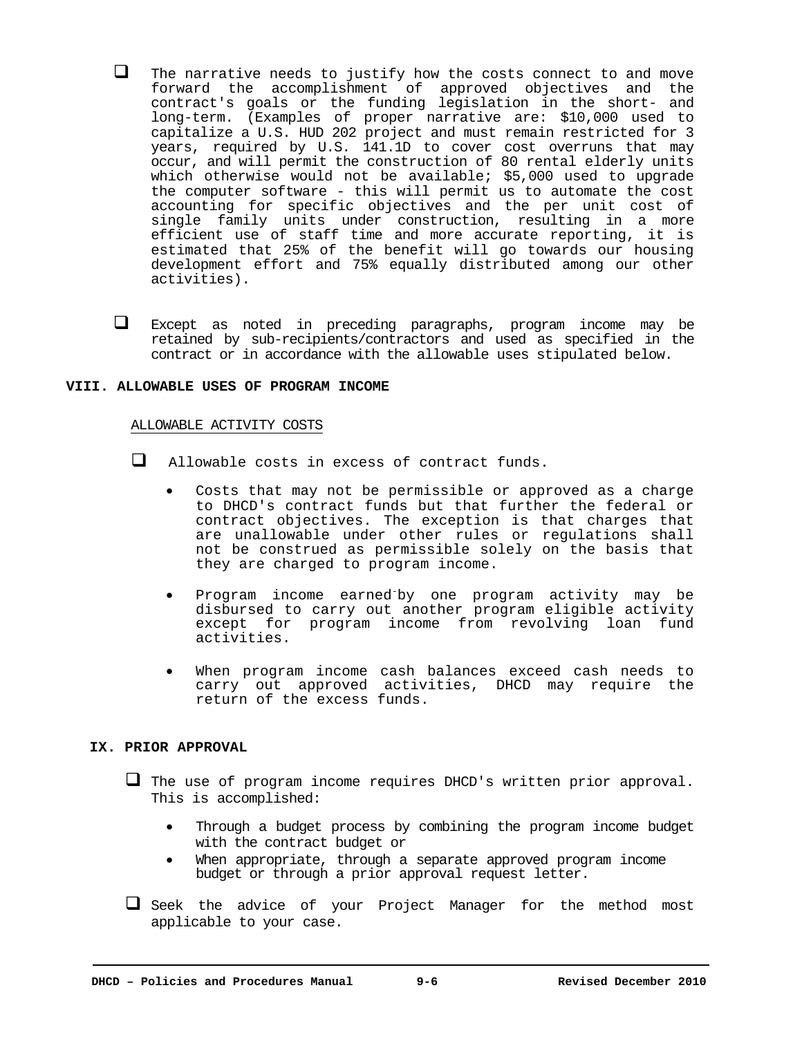- $\Box$  The narrative needs to justify how the costs connect to and move forward the accomplishment of approved objectives and the contract's goals or the funding legislation in the short- and long-term. (Examples of proper narrative are: \$10,000 used to capitalize a U.S. HUD 202 project and must remain restricted for 3 years, required by U.S. 141.1D to cover cost overruns that may occur, and will permit the construction of 80 rental elderly units which otherwise would not be available; \$5,000 used to upgrade the computer software - this will permit us to automate the cost accounting for specific objectives and the per unit cost of single family units under construction, resulting in a more efficient use of staff time and more accurate reporting, it is estimated that 25% of the benefit will go towards our housing development effort and 75% equally distributed among our other activities).
- Except as noted in preceding paragraphs, program income may be retained by sub-recipients/contractors and used as specified in the contract or in accordance with the allowable uses stipulated below.

#### **VIII. ALLOWABLE USES OF PROGRAM INCOME**

#### ALLOWABLE ACTIVITY COSTS

Allowable costs in excess of contract funds.

- Costs that may not be permissible or approved as a charge to DHCD's contract funds but that further the federal or contract objectives. The exception is that charges that are unallowable under other rules or regulations shall not be construed as permissible solely on the basis that they are charged to program income.
- Program income earned-by one program activity may be disbursed to carry out another program eligible activity except for program income from revolving loan fund activities.
- When program income cash balances exceed cash needs to carry out approved activities, DHCD may require the return of the excess funds.

#### **IX. PRIOR APPROVAL**

- The use of program income requires DHCD's written prior approval. This is accomplished:
	- Through a budget process by combining the program income budget with the contract budget or
	- When appropriate, through a separate approved program income budget or through a prior approval request letter.
- Seek the advice of your Project Manager for the method most applicable to your case.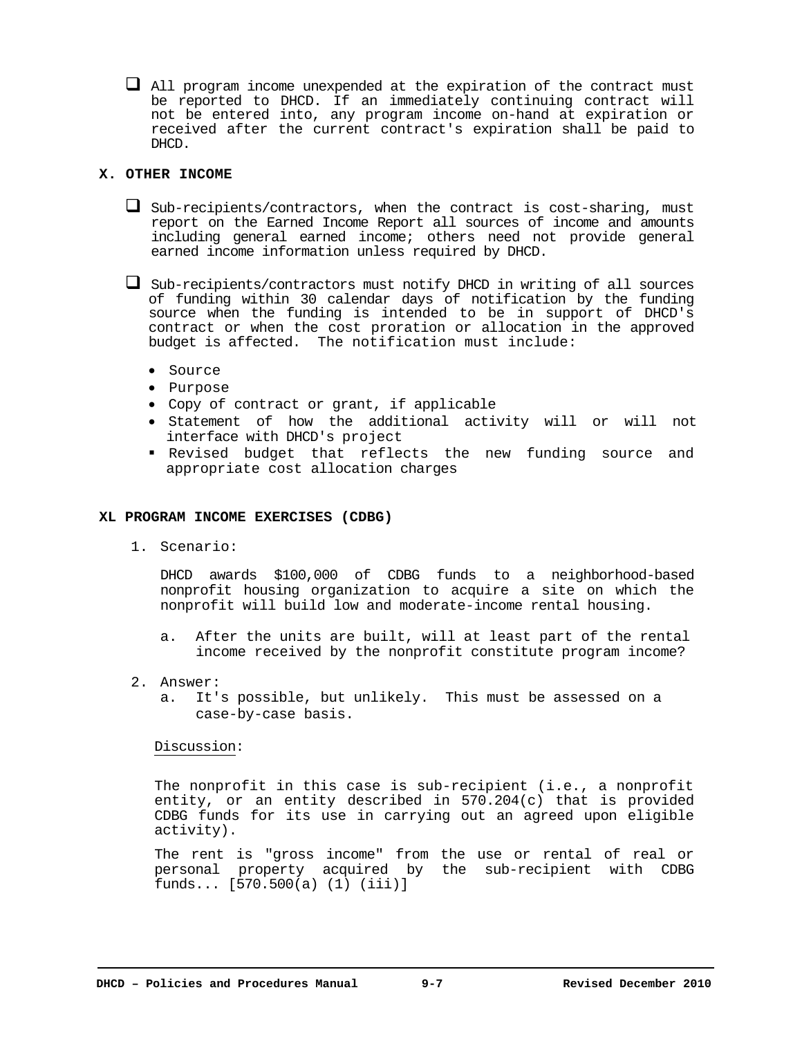$\Box$  All program income unexpended at the expiration of the contract must be reported to DHCD. If an immediately continuing contract will not be entered into, any program income on-hand at expiration or received after the current contract's expiration shall be paid to DHCD.

# **X. OTHER INCOME**

 $\Box$  Sub-recipients/contractors, when the contract is cost-sharing, must report on the Earned Income Report all sources of income and amounts including general earned income; others need not provide general earned income information unless required by DHCD.

 $\Box$  Sub-recipients/contractors must notify DHCD in writing of all sources of funding within 30 calendar days of notification by the funding source when the funding is intended to be in support of DHCD's contract or when the cost proration or allocation in the approved budget is affected. The notification must include:

- Source
- Purpose
- Copy of contract or grant, if applicable
- Statement of how the additional activity will or will not interface with DHCD's project
- Revised budget that reflects the new funding source and appropriate cost allocation charges

## **XL PROGRAM INCOME EXERCISES (CDBG)**

1. Scenario:

DHCD awards \$100,000 of CDBG funds to a neighborhood-based nonprofit housing organization to acquire a site on which the nonprofit will build low and moderate-income rental housing.

- a. After the units are built, will at least part of the rental income received by the nonprofit constitute program income?
- 2. Answer:
	- a. It's possible, but unlikely. This must be assessed on a case-by-case basis.

Discussion:

The nonprofit in this case is sub-recipient (i.e., a nonprofit entity, or an entity described in 570.204(c) that is provided CDBG funds for its use in carrying out an agreed upon eligible activity).

The rent is "gross income" from the use or rental of real or personal property acquired by the sub-recipient with CDBG  ${\rm funds...}$   ${\rm [570.500(a) (1)}$   ${\rm (iii)}$ ]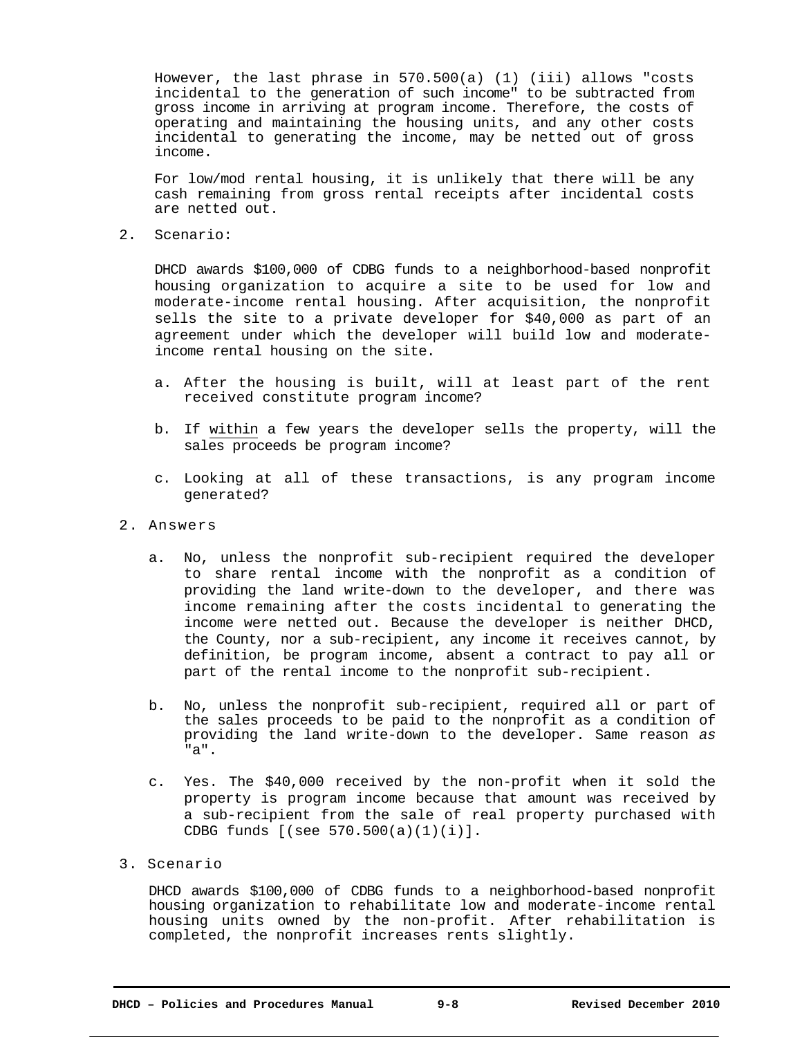However, the last phrase in 570.500(a) (1) (iii) allows "costs incidental to the generation of such income" to be subtracted from gross income in arriving at program income. Therefore, the costs of operating and maintaining the housing units, and any other costs incidental to generating the income, may be netted out of gross income.

For low/mod rental housing, it is unlikely that there will be any cash remaining from gross rental receipts after incidental costs are netted out.

2.Scenario:

DHCD awards \$100,000 of CDBG funds to a neighborhood-based nonprofit housing organization to acquire a site to be used for low and moderate-income rental housing. After acquisition, the nonprofit sells the site to a private developer for \$40,000 as part of an agreement under which the developer will build low and moderateincome rental housing on the site.

- a. After the housing is built, will at least part of the rent received constitute program income?
- b. If within a few years the developer sells the property, will the sales proceeds be program income?
- c. Looking at all of these transactions, is any program income generated?
- 2. Answers
	- a. No, unless the nonprofit sub-recipient required the developer to share rental income with the nonprofit as a condition of providing the land write-down to the developer, and there was income remaining after the costs incidental to generating the income were netted out. Because the developer is neither DHCD, the County, nor a sub-recipient, any income it receives cannot, by definition, be program income, absent a contract to pay all or part of the rental income to the nonprofit sub-recipient.
	- b. No, unless the nonprofit sub-recipient, required all or part of the sales proceeds to be paid to the nonprofit as a condition of providing the land write-down to the developer. Same reason *as*  "a".
	- c. Yes. The \$40,000 received by the non-profit when it sold the property is program income because that amount was received by a sub-recipient from the sale of real property purchased with CDBG funds [(see 570.500(a)(1)(i)].
- 3. Scenario

DHCD awards \$100,000 of CDBG funds to a neighborhood-based nonprofit housing organization to rehabilitate low and moderate-income rental housing units owned by the non-profit. After rehabilitation is completed, the nonprofit increases rents slightly.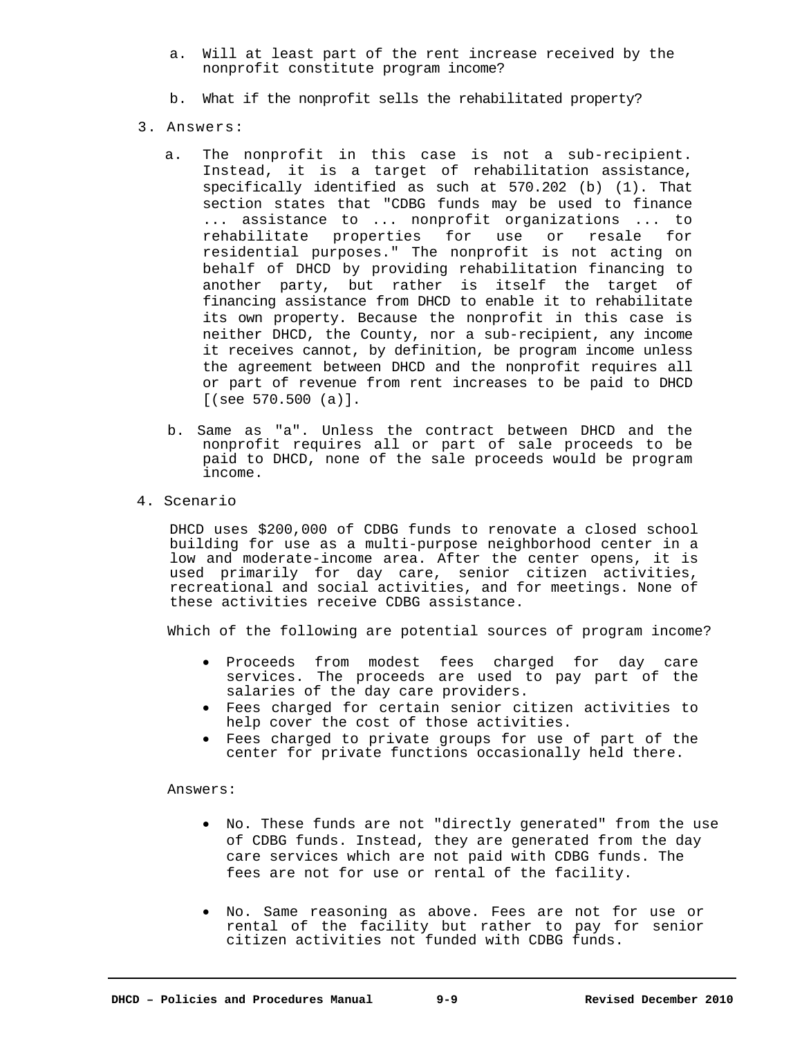- a. Will at least part of the rent increase received by the nonprofit constitute program income?
- b. What if the nonprofit sells the rehabilitated property?
- 3. Answers:
	- a. The nonprofit in this case is not a sub-recipient. Instead, it is a target of rehabilitation assistance, specifically identified as such at 570.202 (b) (1). That section states that "CDBG funds may be used to finance ... assistance to ... nonprofit organizations ... to rehabilitate properties for use or resale for residential purposes." The nonprofit is not acting on behalf of DHCD by providing rehabilitation financing to another party, but rather is itself the target of financing assistance from DHCD to enable it to rehabilitate its own property. Because the nonprofit in this case is neither DHCD, the County, nor a sub-recipient, any income it receives cannot, by definition, be program income unless the agreement between DHCD and the nonprofit requires all or part of revenue from rent increases to be paid to DHCD [(see 570.500 (a)].
	- b. Same as "a". Unless the contract between DHCD and the nonprofit requires all or part of sale proceeds to be paid to DHCD, none of the sale proceeds would be program income.
- 4. Scenario

DHCD uses \$200,000 of CDBG funds to renovate a closed school building for use as a multi-purpose neighborhood center in a low and moderate-income area. After the center opens, it is used primarily for day care, senior citizen activities, recreational and social activities, and for meetings. None of these activities receive CDBG assistance.

Which of the following are potential sources of program income?

- Proceeds from modest fees charged for day care services. The proceeds are used to pay part of the salaries of the day care providers.
- Fees charged for certain senior citizen activities to help cover the cost of those activities.
- Fees charged to private groups for use of part of the center for private functions occasionally held there.

Answers:

- No. These funds are not "directly generated" from the use of CDBG funds. Instead, they are generated from the day care services which are not paid with CDBG funds. The fees are not for use or rental of the facility.
- No. Same reasoning as above. Fees are not for use or rental of the facility but rather to pay for senior citizen activities not funded with CDBG funds.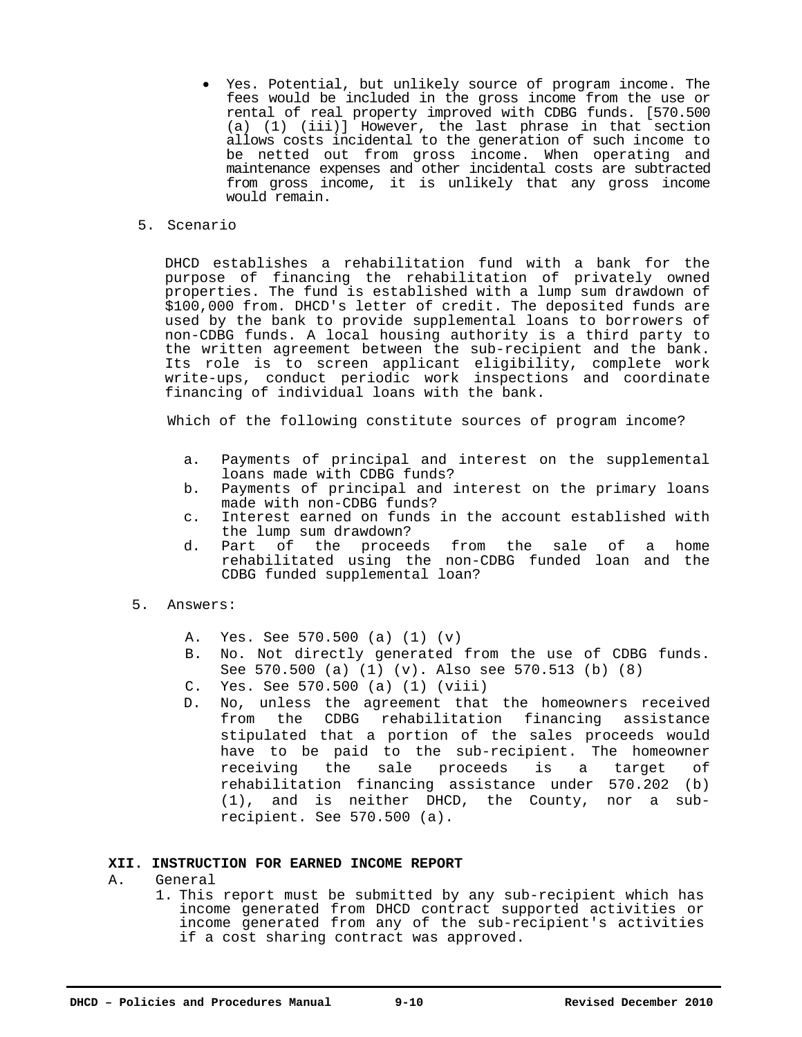- Yes. Potential, but unlikely source of program income. The fees would be included in the gross income from the use or rental of real property improved with CDBG funds. [570.500 (a) (1) (iii)] However, the last phrase in that section allows costs incidental to the generation of such income to be netted out from gross income. When operating and maintenance expenses and other incidental costs are subtracted from gross income, it is unlikely that any gross income would remain.
- 5. Scenario

DHCD establishes a rehabilitation fund with a bank for the purpose of financing the rehabilitation of privately owned properties. The fund is established with a lump sum drawdown of \$100,000 from. DHCD's letter of credit. The deposited funds are used by the bank to provide supplemental loans to borrowers of non-CDBG funds. A local housing authority is a third party to the written agreement between the sub-recipient and the bank. Its role is to screen applicant eligibility, complete work write-ups, conduct periodic work inspections and coordinate financing of individual loans with the bank.

Which of the following constitute sources of program income?

- a. Payments of principal and interest on the supplemental loans made with CDBG funds?
- b. Payments of principal and interest on the primary loans made with non-CDBG funds?
- c. Interest earned on funds in the account established with the lump sum drawdown?
- d. Part of the proceeds from the sale of a home rehabilitated using the non-CDBG funded loan and the CDBG funded supplemental loan?
- 5. Answers:
	- A. Yes. See 570.500 (a) (1) (v)
	- B. No. Not directly generated from the use of CDBG funds. See 570.500 (a) (1) (v). Also see 570.513 (b) (8)
	- C. Yes. See 570.500 (a) (1) (viii)
	- D. No, unless the agreement that the homeowners received from the CDBG rehabilitation financing assistance stipulated that a portion of the sales proceeds would have to be paid to the sub-recipient. The homeowner receiving the sale proceeds is a target of rehabilitation financing assistance under 570.202 (b) (1), and is neither DHCD, the County, nor a subrecipient. See 570.500 (a).

# **XII. INSTRUCTION FOR EARNED INCOME REPORT**

- A. General
	- 1. This report must be submitted by any sub-recipient which has income generated from DHCD contract supported activities or income generated from any of the sub-recipient's activities if a cost sharing contract was approved.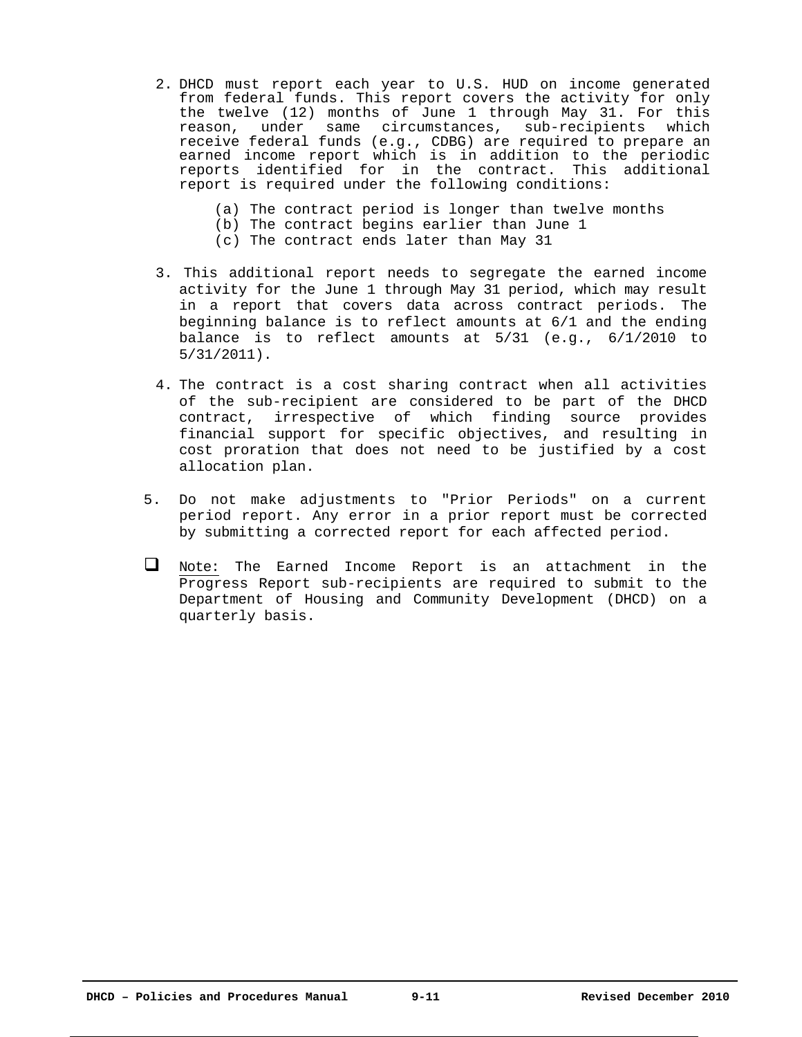- 2. DHCD must report each year to U.S. HUD on income generated from federal funds. This report covers the activity for only the twelve (12) months of June 1 through May 31. For this<br>reason, under same circumstances, sub-recipients which under same circumstances, sub-recipients which receive federal funds (e.g., CDBG) are required to prepare an earned income report which is in addition to the periodic reports identified for in the contract. This additional report is required under the following conditions:
	- (a) The contract period is longer than twelve months
	- (b) The contract begins earlier than June 1
	- (c) The contract ends later than May 31
- 3. This additional report needs to segregate the earned income activity for the June 1 through May 31 period, which may result in a report that covers data across contract periods. The beginning balance is to reflect amounts at 6/1 and the ending balance is to reflect amounts at 5/31 (e.g., 6/1/2010 to 5/31/2011).
- 4. The contract is a cost sharing contract when all activities of the sub-recipient are considered to be part of the DHCD contract, irrespective of which finding source provides financial support for specific objectives, and resulting in cost proration that does not need to be justified by a cost allocation plan.
- 5. Do not make adjustments to "Prior Periods" on a current period report. Any error in a prior report must be corrected by submitting a corrected report for each affected period.
- Note: The Earned Income Report is an attachment in the Progress Report sub-recipients are required to submit to the Department of Housing and Community Development (DHCD) on a quarterly basis.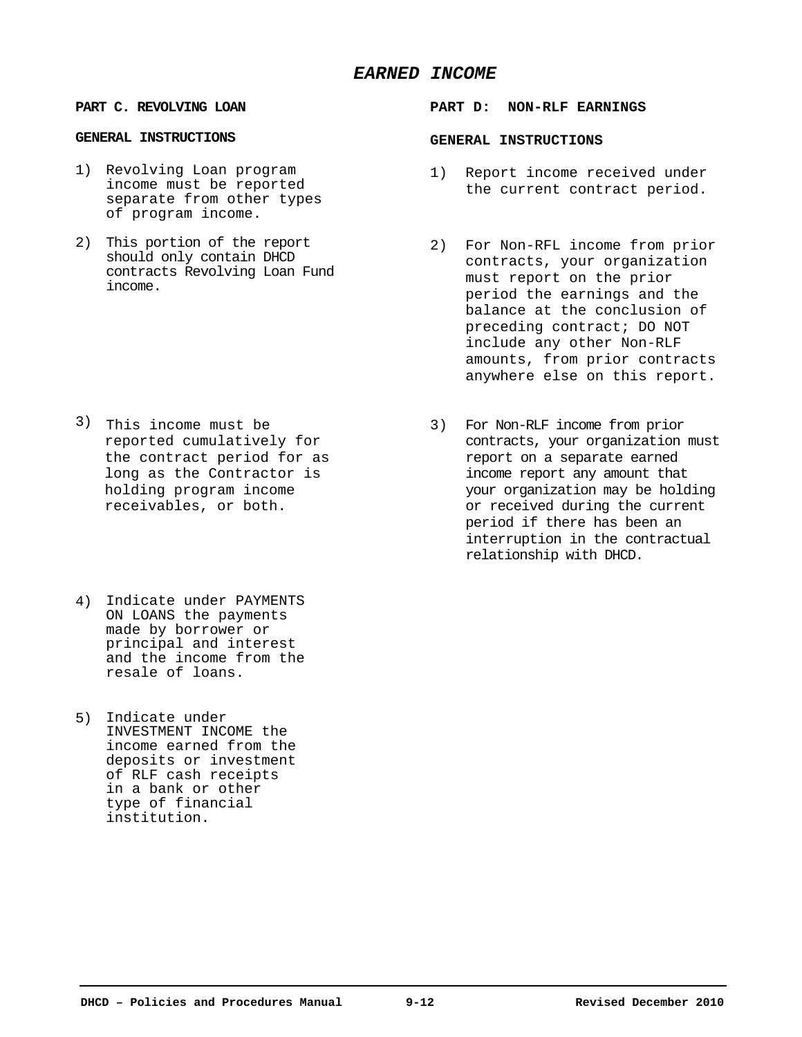# *EARNED INCOME*

#### **GENERAL INSTRUCTIONS GENERAL INSTRUCTIONS**

- 1) Revolving Loan program income must be reported separate from other types of program income.
- 2) This portion of the report should only contain DHCD contracts Revolving Loan Fund income.

- 3) This income must be reported cumulatively for the contract period for as long as the Contractor is holding program income receivables, or both.
- 4) Indicate under PAYMENTS ON LOANS the payments made by borrower or principal and interest and the income from the resale of loans.
- 5) Indicate under INVESTMENT INCOME the income earned from the deposits or investment of RLF cash receipts in a bank or other type of financial institution.

#### **PART C. REVOLVING LOAN PART D: NON-RLF EARNINGS**

- 1) Report income received under the current contract period.
- 2) For Non-RFL income from prior contracts, your organization must report on the prior period the earnings and the balance at the conclusion of preceding contract; DO NOT include any other Non-RLF amounts, from prior contracts anywhere else on this report.
- 3) For Non-RLF income from prior contracts, your organization must report on a separate earned income report any amount that your organization may be holding or received during the current period if there has been an interruption in the contractual relationship with DHCD.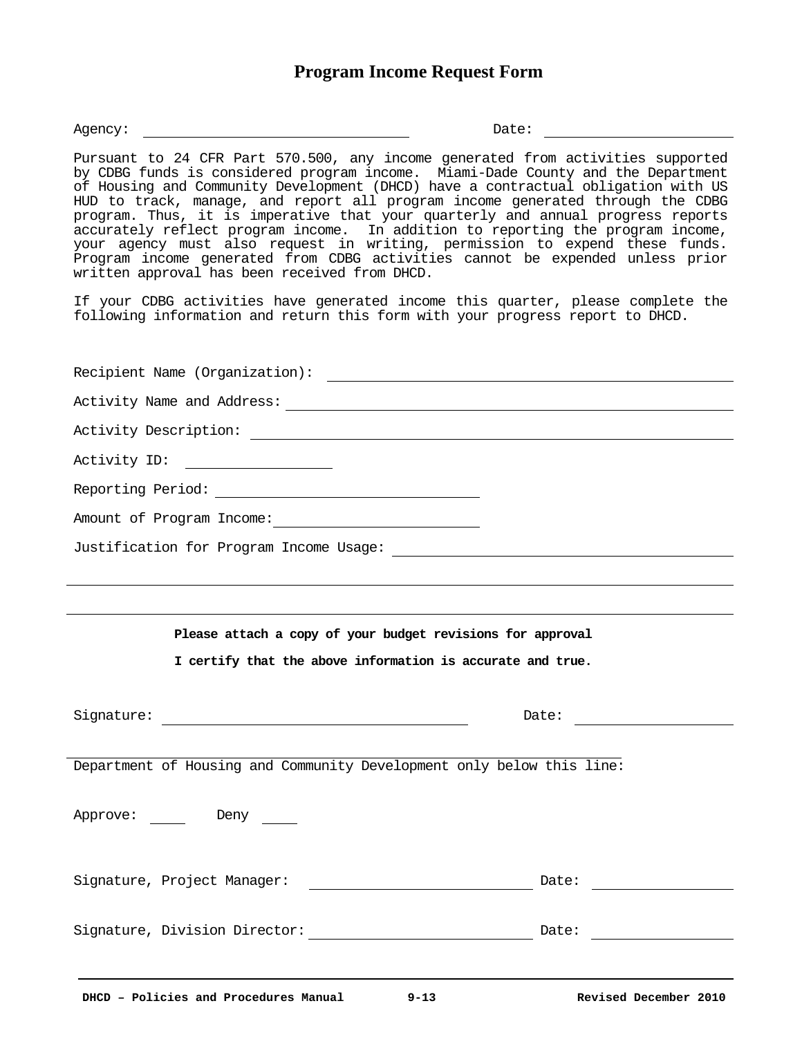# **Program Income Request Form**

Agency: Date:

Pursuant to 24 CFR Part 570.500, any income generated from activities supported by CDBG funds is considered program income. Miami-Dade County and the Department of Housing and Community Development (DHCD) have a contractual obligation with US HUD to track, manage, and report all program income generated through the CDBG program. Thus, it is imperative that your quarterly and annual progress reports accurately reflect program income. In addition to reporting the program income, your agency must also request in writing, permission to expend these funds. Program income generated from CDBG activities cannot be expended unless prior written approval has been received from DHCD.

If your CDBG activities have generated income this quarter, please complete the following information and return this form with your progress report to DHCD.

| Amount of Program Income:                                             |                                                                                                                                                                                                                                |
|-----------------------------------------------------------------------|--------------------------------------------------------------------------------------------------------------------------------------------------------------------------------------------------------------------------------|
|                                                                       |                                                                                                                                                                                                                                |
|                                                                       |                                                                                                                                                                                                                                |
|                                                                       |                                                                                                                                                                                                                                |
| Please attach a copy of your budget revisions for approval            |                                                                                                                                                                                                                                |
| I certify that the above information is accurate and true.            |                                                                                                                                                                                                                                |
|                                                                       |                                                                                                                                                                                                                                |
|                                                                       | Date: the contract of the contract of the contract of the contract of the contract of the contract of the contract of the contract of the contract of the contract of the contract of the contract of the contract of the cont |
| Department of Housing and Community Development only below this line: |                                                                                                                                                                                                                                |
|                                                                       |                                                                                                                                                                                                                                |
| Approve: Deny                                                         |                                                                                                                                                                                                                                |
|                                                                       |                                                                                                                                                                                                                                |
| Signature, Project Manager:                                           | Date: the contract of the contract of the contract of the contract of the contract of the contract of the contract of the contract of the contract of the contract of the contract of the contract of the contract of the cont |
|                                                                       |                                                                                                                                                                                                                                |
|                                                                       |                                                                                                                                                                                                                                |
|                                                                       |                                                                                                                                                                                                                                |
|                                                                       |                                                                                                                                                                                                                                |